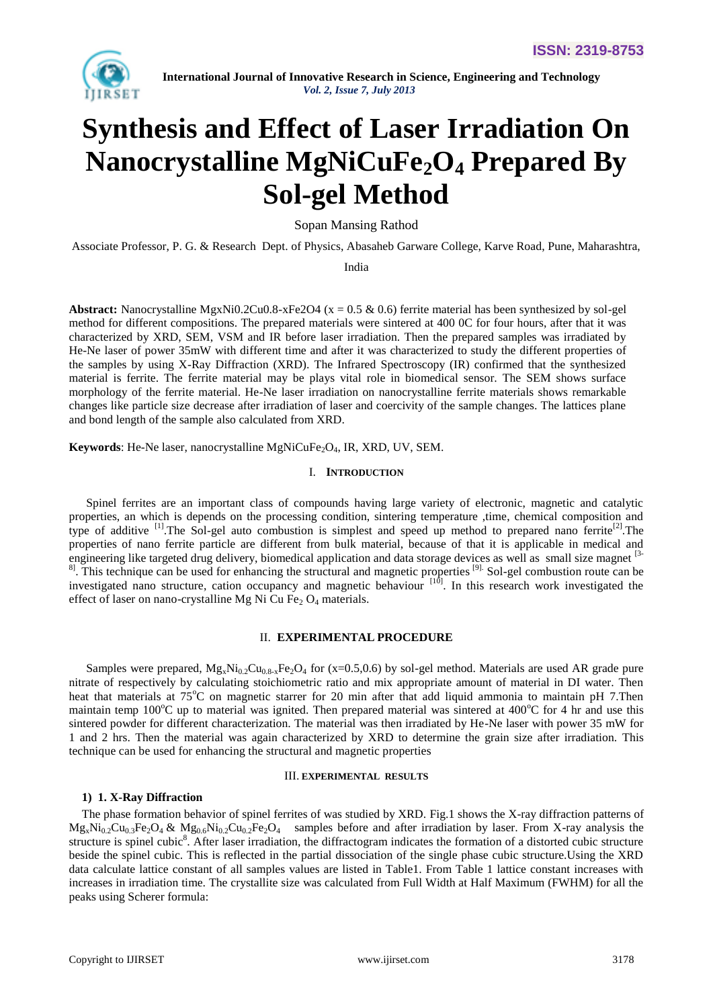

# **Synthesis and Effect of Laser Irradiation On Nanocrystalline MgNiCuFe2O<sup>4</sup> Prepared By Sol-gel Method**

Sopan Mansing Rathod

Associate Professor, P. G. & Research Dept. of Physics, Abasaheb Garware College, Karve Road, Pune, Maharashtra,

India

**Abstract:** Nanocrystalline MgxNi0.2Cu0.8-xFe2O4 ( $x = 0.5 \& 0.6$ ) ferrite material has been synthesized by sol-gel method for different compositions. The prepared materials were sintered at 400 0C for four hours, after that it was characterized by XRD, SEM, VSM and IR before laser irradiation. Then the prepared samples was irradiated by He-Ne laser of power 35mW with different time and after it was characterized to study the different properties of the samples by using X-Ray Diffraction (XRD). The Infrared Spectroscopy (IR) confirmed that the synthesized material is ferrite. The ferrite material may be plays vital role in biomedical sensor. The SEM shows surface morphology of the ferrite material. He-Ne laser irradiation on nanocrystalline ferrite materials shows remarkable changes like particle size decrease after irradiation of laser and coercivity of the sample changes. The lattices plane and bond length of the sample also calculated from XRD.

**Keywords**: He-Ne laser, nanocrystalline MgNiCuFe<sub>2</sub>O<sub>4</sub>, IR, XRD, UV, SEM.

# I. **INTRODUCTION**

Spinel ferrites are an important class of compounds having large variety of electronic, magnetic and catalytic properties, an which is depends on the processing condition, sintering temperature ,time, chemical composition and type of additive <sup>[1]</sup>. The Sol-gel auto combustion is simplest and speed up method to prepared nano ferrite<sup>[2]</sup>. The properties of nano ferrite particle are different from bulk material, because of that it is applicable in medical and engineering like targeted drug delivery, biomedical application and data storage devices as well as small size magnet <sup>[3-</sup>] <sup>8]</sup>. This technique can be used for enhancing the structural and magnetic properties <sup>[9].</sup> Sol-gel combustion route can be investigated nano structure, cation occupancy and magnetic behaviour  $[10]$ . In this research work investigated the effect of laser on nano-crystalline Mg Ni Cu Fe<sub>2</sub> O<sub>4</sub> materials.

### II. **EXPERIMENTAL PROCEDURE**

Samples were prepared,  $Mg_xNi_{0.2}Cu_{0.8-x}Fe_2O_4$  for (x=0.5,0.6) by sol-gel method. Materials are used AR grade pure nitrate of respectively by calculating stoichiometric ratio and mix appropriate amount of material in DI water. Then heat that materials at 75<sup>o</sup>C on magnetic starrer for 20 min after that add liquid ammonia to maintain pH 7. Then maintain temp  $100^{\circ}$ C up to material was ignited. Then prepared material was sintered at  $400^{\circ}$ C for 4 hr and use this sintered powder for different characterization. The material was then irradiated by He-Ne laser with power 35 mW for 1 and 2 hrs. Then the material was again characterized by XRD to determine the grain size after irradiation. This technique can be used for enhancing the structural and magnetic properties

## III. **EXPERIMENTAL RESULTS**

# **1) 1. X-Ray Diffraction**

The phase formation behavior of spinel ferrites of was studied by XRD. Fig.1 shows the X-ray diffraction patterns of  $Mg_xNi_{0.2}Cu_{0.3}Fe_2O_4 \& Mg_{0.6}Ni_{0.2}Cu_{0.2}Fe_2O_4$  samples before and after irradiation by laser. From X-ray analysis the structure is spinel cubic<sup>8</sup>. After laser irradiation, the diffractogram indicates the formation of a distorted cubic structure beside the spinel cubic. This is reflected in the partial dissociation of the single phase cubic structure.Using the XRD data calculate lattice constant of all samples values are listed in Table1. From Table 1 lattice constant increases with increases in irradiation time. The crystallite size was calculated from Full Width at Half Maximum (FWHM) for all the peaks using Scherer formula: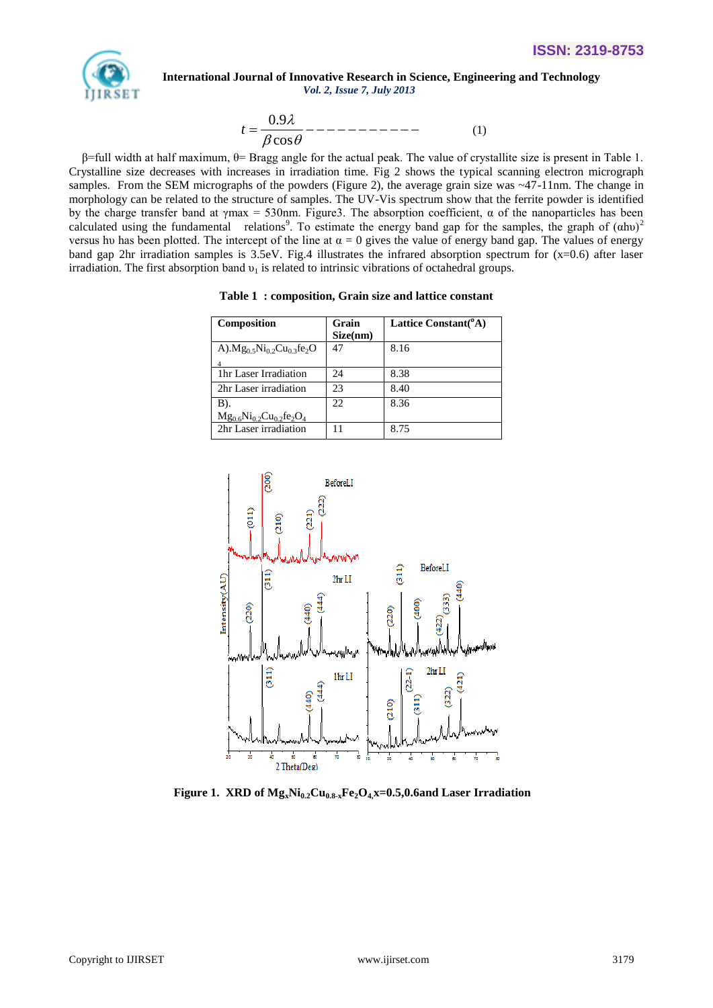

$$
t = \frac{0.9\lambda}{\beta \cos \theta} \text{---} \text{---} \text{---} \tag{1}
$$

β=full width at half maximum, θ= Bragg angle for the actual peak. The value of crystallite size is present in Table 1. Crystalline size decreases with increases in irradiation time. Fig 2 shows the typical scanning electron micrograph samples. From the SEM micrographs of the powders (Figure 2), the average grain size was ~47-11nm. The change in morphology can be related to the structure of samples. The UV-Vis spectrum show that the ferrite powder is identified by the charge transfer band at  $\gamma$ max = 530nm. Figure3. The absorption coefficient,  $\alpha$  of the nanoparticles has been calculated using the fundamental relations<sup>9</sup>. To estimate the energy band gap for the samples, the graph of  $(\alpha h\nu)^2$ versus hu has been plotted. The intercept of the line at  $\alpha = 0$  gives the value of energy band gap. The values of energy band gap 2hr irradiation samples is 3.5eV. Fig.4 illustrates the infrared absorption spectrum for (x=0.6) after laser irradiation. The first absorption band  $v_1$  is related to intrinsic vibrations of octahedral groups.

| Composition                            | Grain<br>Size(nm) | Lattice Constant( <sup>o</sup> A) |
|----------------------------------------|-------------------|-----------------------------------|
| A). $Mg_0$ , $Ni_0$ , $Cu_0$ , $fe_2O$ | 47                | 8.16                              |
|                                        |                   |                                   |
| 1 <sub>hr</sub> Laser Irradiation      | 24                | 8.38                              |
| 2hr Laser irradiation                  | 23                | 8.40                              |
| B).                                    | 22                | 8.36                              |
| $Mg_{0.6}Ni_{0.2}Cu_{0.2}fe_2O_4$      |                   |                                   |
| 2hr Laser irradiation                  |                   | 8.75                              |

**Table 1 : composition, Grain size and lattice constant**



**Figure 1. XRD of**  $Mg_xNi_{0.2}Cu_{0.8-x}Fe_2O_4x=0.5,0.6$  **and Laser Irradiation**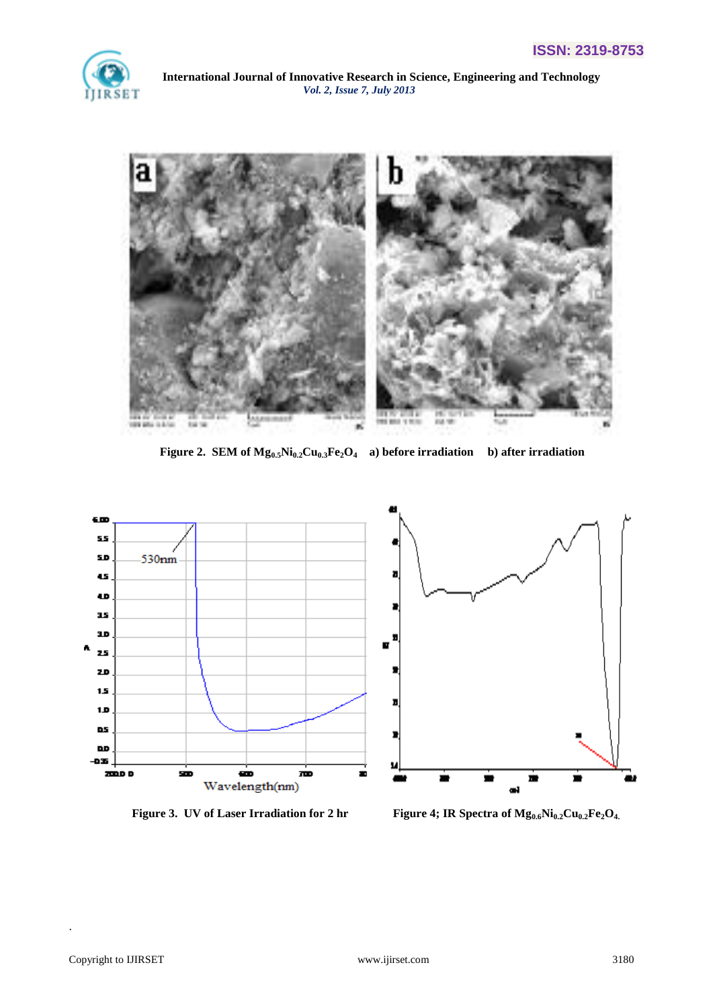



**Figure 2. SEM of Mg0.5Ni0.2Cu0.3Fe2O4 a) before irradiation b) after irradiation**



**Figure 3. UV of Laser Irradiation for 2 hr Figure 4; IR Spectra of Mg0.6Ni0.2Cu0.2Fe2O4.**

.